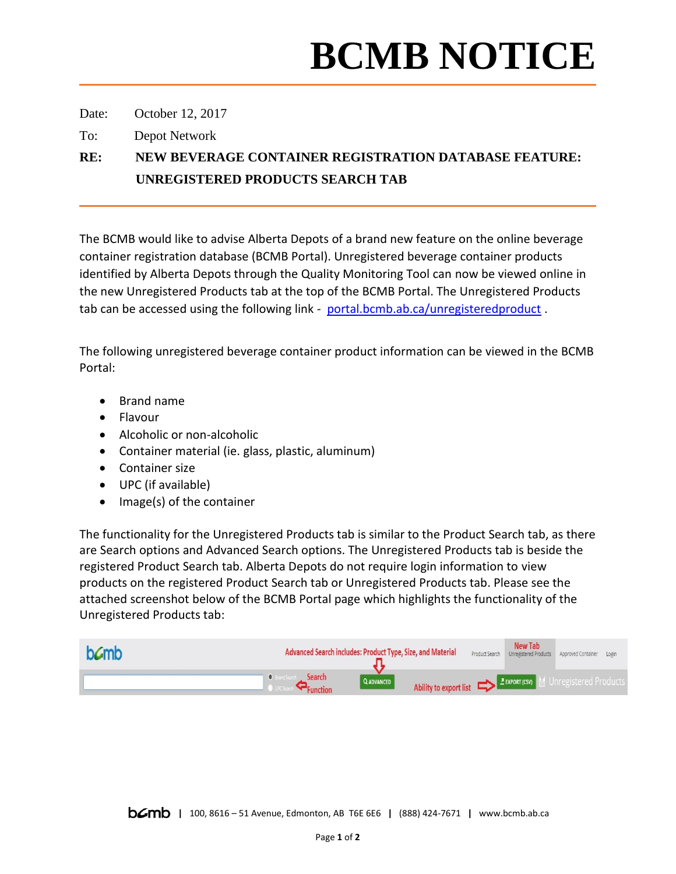## **BCMB NOTICE**

Date: October 12, 2017

To: Depot Network

**RE: NEW BEVERAGE CONTAINER REGISTRATION DATABASE FEATURE: UNREGISTERED PRODUCTS SEARCH TAB**

The BCMB would like to advise Alberta Depots of a brand new feature on the online beverage container registration database (BCMB Portal). Unregistered beverage container products identified by Alberta Depots through the Quality Monitoring Tool can now be viewed online in the new Unregistered Products tab at the top of the BCMB Portal. The Unregistered Products tab can be accessed using the following link - [portal.bcmb.ab.ca/unregisteredproduct](http://portal.bcmb.ab.ca/unregisteredproduct) .

The following unregistered beverage container product information can be viewed in the BCMB Portal:

- Brand name
- Flavour
- Alcoholic or non-alcoholic
- Container material (ie. glass, plastic, aluminum)
- Container size
- UPC (if available)
- Image(s) of the container

The functionality for the Unregistered Products tab is similar to the Product Search tab, as there are Search options and Advanced Search options. The Unregistered Products tab is beside the registered Product Search tab. Alberta Depots do not require login information to view products on the registered Product Search tab or Unregistered Products tab. Please see the attached screenshot below of the BCMB Portal page which highlights the functionality of the Unregistered Products tab:

| bcmb | Advanced Search includes: Product Type, Size, and Material |                                           | <b>New Tab</b><br>Product Search Unregistered Products Approved Container Login |                       |  |
|------|------------------------------------------------------------|-------------------------------------------|---------------------------------------------------------------------------------|-----------------------|--|
|      | Search<br>QADVANCED                                        | Ability to export list <b>EXPORT(CSV)</b> |                                                                                 | Unregistered Products |  |